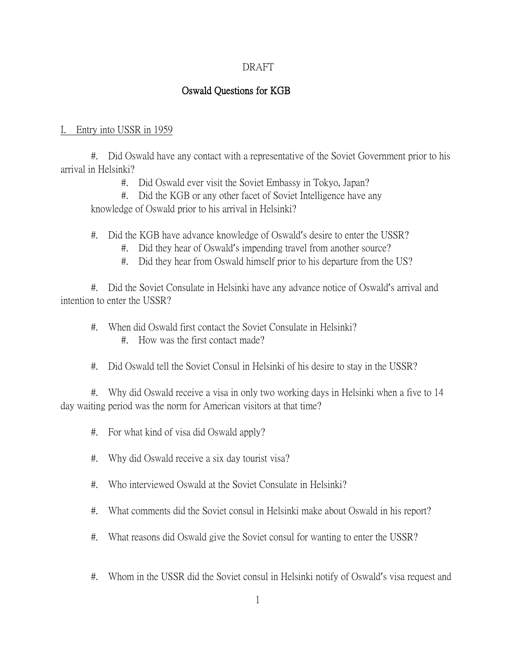# Oswald Questions for KGB

## I. Entry into USSR in 1959

#. Did Oswald have any contact with a representative of the Soviet Government prior to his arrival in Helsinki?

#. Did Oswald ever visit the Soviet Embassy in Tokyo, Japan?

#. Did the KGB or any other facet of Soviet Intelligence have any knowledge of Oswald prior to his arrival in Helsinki?

#. Did the KGB have advance knowledge of Oswald's desire to enter the USSR?

#. Did they hear of Oswald's impending travel from another source?

#. Did they hear from Oswald himself prior to his departure from the US?

#. Did the Soviet Consulate in Helsinki have any advance notice of Oswald's arrival and intention to enter the USSR?

- #. When did Oswald first contact the Soviet Consulate in Helsinki?
	- #. How was the first contact made?
- #. Did Oswald tell the Soviet Consul in Helsinki of his desire to stay in the USSR?

#. Why did Oswald receive a visa in only two working days in Helsinki when a five to 14 day waiting period was the norm for American visitors at that time?

- #. For what kind of visa did Oswald apply?
- #. Why did Oswald receive a six day tourist visa?
- #. Who interviewed Oswald at the Soviet Consulate in Helsinki?
- #. What comments did the Soviet consul in Helsinki make about Oswald in his report?
- #. What reasons did Oswald give the Soviet consul for wanting to enter the USSR?
- #. Whom in the USSR did the Soviet consul in Helsinki notify of Oswald's visa request and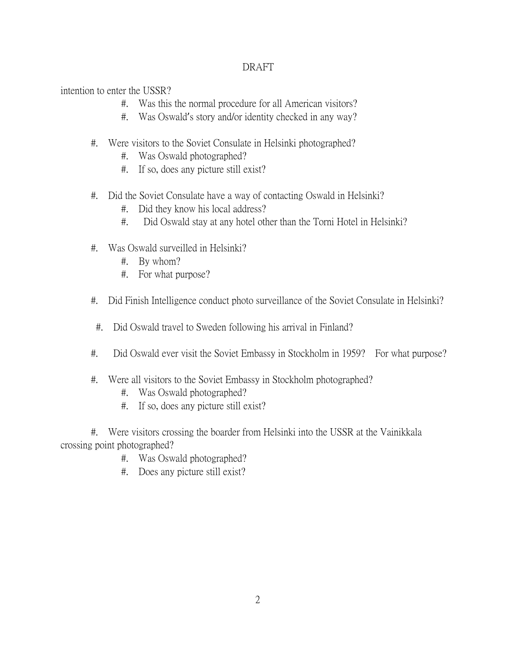intention to enter the USSR?

- #. Was this the normal procedure for all American visitors?
- #. Was Oswald's story and/or identity checked in any way?
- #. Were visitors to the Soviet Consulate in Helsinki photographed?
	- #. Was Oswald photographed?
	- #. If so, does any picture still exist?
- #. Did the Soviet Consulate have a way of contacting Oswald in Helsinki?
	- #. Did they know his local address?
	- #. Did Oswald stay at any hotel other than the Torni Hotel in Helsinki?
- #. Was Oswald surveilled in Helsinki?
	- #. By whom?
	- #. For what purpose?
- #. Did Finish Intelligence conduct photo surveillance of the Soviet Consulate in Helsinki?
- #. Did Oswald travel to Sweden following his arrival in Finland?
- #. Did Oswald ever visit the Soviet Embassy in Stockholm in 1959? For what purpose?
- #. Were all visitors to the Soviet Embassy in Stockholm photographed?
	- #. Was Oswald photographed?
	- #. If so, does any picture still exist?

#. Were visitors crossing the boarder from Helsinki into the USSR at the Vainikkala crossing point photographed?

- #. Was Oswald photographed?
- #. Does any picture still exist?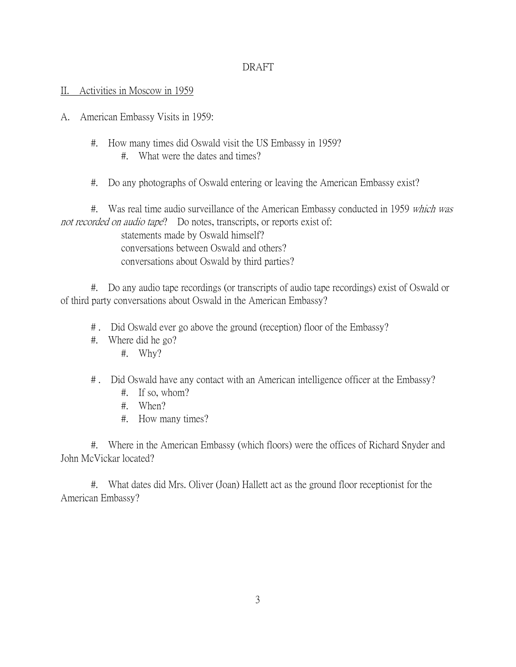### II. Activities in Moscow in 1959

- A. American Embassy Visits in 1959:
	- #. How many times did Oswald visit the US Embassy in 1959? #. What were the dates and times?
	- #. Do any photographs of Oswald entering or leaving the American Embassy exist?

#. Was real time audio surveillance of the American Embassy conducted in 1959 which was not recorded on audio tape? Do notes, transcripts, or reports exist of:

> statements made by Oswald himself? conversations between Oswald and others? conversations about Oswald by third parties?

#. Do any audio tape recordings (or transcripts of audio tape recordings) exist of Oswald or of third party conversations about Oswald in the American Embassy?

- # . Did Oswald ever go above the ground (reception) floor of the Embassy?
- #. Where did he go?
	- #. Why?
- # . Did Oswald have any contact with an American intelligence officer at the Embassy?
	- #. If so, whom?
	- #. When?
	- #. How many times?

#. Where in the American Embassy (which floors) were the offices of Richard Snyder and John McVickar located?

#. What dates did Mrs. Oliver (Joan) Hallett act as the ground floor receptionist for the American Embassy?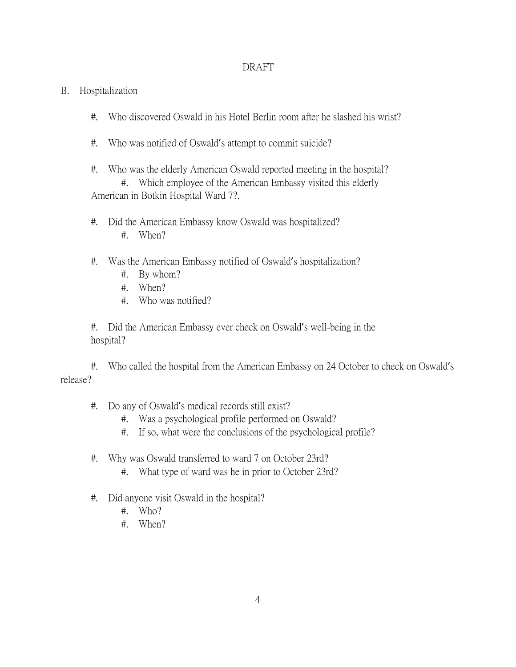## B. Hospitalization

- #. Who discovered Oswald in his Hotel Berlin room after he slashed his wrist?
- #. Who was notified of Oswald's attempt to commit suicide?
- #. Who was the elderly American Oswald reported meeting in the hospital? #. Which employee of the American Embassy visited this elderly American in Botkin Hospital Ward 7?.
- #. Did the American Embassy know Oswald was hospitalized? #. When?

# #. Was the American Embassy notified of Oswald's hospitalization?

- #. By whom?
- #. When?
- #. Who was notified?

#. Did the American Embassy ever check on Oswald's well-being in the hospital?

#. Who called the hospital from the American Embassy on 24 October to check on Oswald's release?

- #. Do any of Oswald's medical records still exist?
	- #. Was a psychological profile performed on Oswald?
	- #. If so, what were the conclusions of the psychological profile?
- #. Why was Oswald transferred to ward 7 on October 23rd?
	- #. What type of ward was he in prior to October 23rd?
- #. Did anyone visit Oswald in the hospital?
	- #. Who?
	- #. When?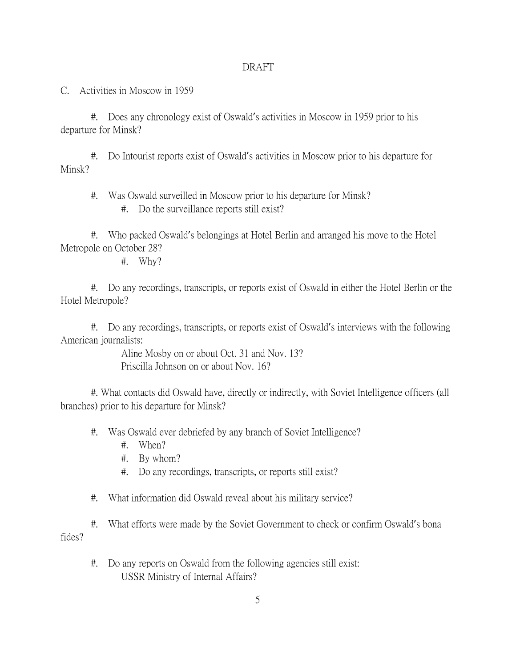C. Activities in Moscow in 1959

#. Does any chronology exist of Oswald's activities in Moscow in 1959 prior to his departure for Minsk?

#. Do Intourist reports exist of Oswald's activities in Moscow prior to his departure for Minsk?

#. Was Oswald surveilled in Moscow prior to his departure for Minsk?

#. Do the surveillance reports still exist?

#. Who packed Oswald's belongings at Hotel Berlin and arranged his move to the Hotel Metropole on October 28?

#. Why?

#. Do any recordings, transcripts, or reports exist of Oswald in either the Hotel Berlin or the Hotel Metropole?

#. Do any recordings, transcripts, or reports exist of Oswald's interviews with the following American journalists:

> Aline Mosby on or about Oct. 31 and Nov. 13? Priscilla Johnson on or about Nov. 16?

#. What contacts did Oswald have, directly or indirectly, with Soviet Intelligence officers (all branches) prior to his departure for Minsk?

- #. Was Oswald ever debriefed by any branch of Soviet Intelligence?
	- #. When?
	- #. By whom?
	- #. Do any recordings, transcripts, or reports still exist?
- #. What information did Oswald reveal about his military service?

#. What efforts were made by the Soviet Government to check or confirm Oswald's bona fides?

#. Do any reports on Oswald from the following agencies still exist: USSR Ministry of Internal Affairs?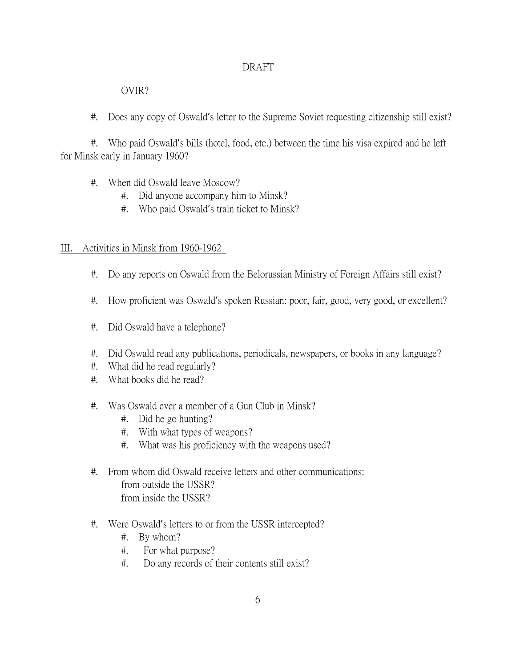# OVIR?

#. Does any copy of Oswald's letter to the Supreme Soviet requesting citizenship still exist?

#. Who paid Oswald's bills (hotel, food, etc.) between the time his visa expired and he left for Minsk early in January 1960?

- #. When did Oswald leave Moscow?
	- #. Did anyone accompany him to Minsk?
	- #. Who paid Oswald's train ticket to Minsk?

## III. Activities in Minsk from 1960-1962

- #. Do any reports on Oswald from the Belorussian Ministry of Foreign Affairs still exist?
- #. How proficient was Oswald's spoken Russian: poor, fair, good, very good, or excellent?
- #. Did Oswald have a telephone?
- #. Did Oswald read any publications, periodicals, newspapers, or books in any language?
- #. What did he read regularly?
- #. What books did he read?
- #. Was Oswald ever a member of a Gun Club in Minsk?
	- #. Did he go hunting?
	- #. With what types of weapons?
	- #. What was his proficiency with the weapons used?
- #. From whom did Oswald receive letters and other communications: from outside the USSR? from inside the USSR?
- #. Were Oswald's letters to or from the USSR intercepted?
	- #. By whom?
	- #. For what purpose?
	- #. Do any records of their contents still exist?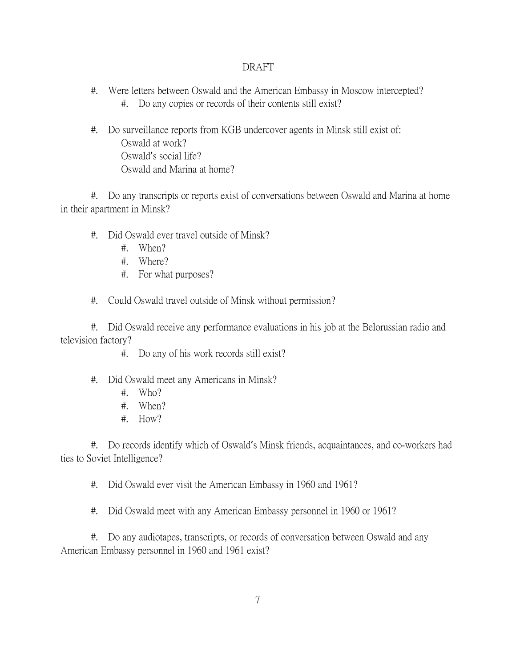- #. Were letters between Oswald and the American Embassy in Moscow intercepted? #. Do any copies or records of their contents still exist?
- #. Do surveillance reports from KGB undercover agents in Minsk still exist of: Oswald at work? Oswald's social life? Oswald and Marina at home?

#. Do any transcripts or reports exist of conversations between Oswald and Marina at home in their apartment in Minsk?

- #. Did Oswald ever travel outside of Minsk?
	- #. When?
	- #. Where?
	- #. For what purposes?

#. Could Oswald travel outside of Minsk without permission?

#. Did Oswald receive any performance evaluations in his job at the Belorussian radio and television factory?

- #. Do any of his work records still exist?
- #. Did Oswald meet any Americans in Minsk?
	- #. Who?
	- #. When?
	- #. How?

#. Do records identify which of Oswald's Minsk friends, acquaintances, and co-workers had ties to Soviet Intelligence?

#. Did Oswald ever visit the American Embassy in 1960 and 1961?

#. Did Oswald meet with any American Embassy personnel in 1960 or 1961?

#. Do any audiotapes, transcripts, or records of conversation between Oswald and any American Embassy personnel in 1960 and 1961 exist?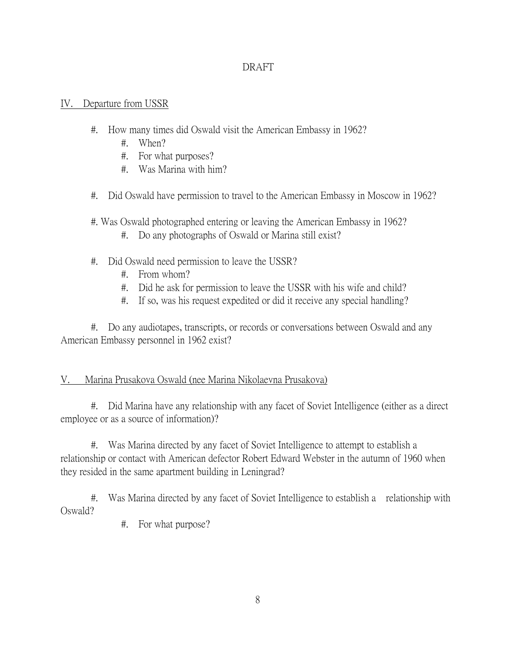## IV. Departure from USSR

- #. How many times did Oswald visit the American Embassy in 1962?
	- #. When?
	- #. For what purposes?
	- #. Was Marina with him?
- #. Did Oswald have permission to travel to the American Embassy in Moscow in 1962?

#. Was Oswald photographed entering or leaving the American Embassy in 1962?

- #. Do any photographs of Oswald or Marina still exist?
- #. Did Oswald need permission to leave the USSR?
	- #. From whom?
	- #. Did he ask for permission to leave the USSR with his wife and child?
	- #. If so, was his request expedited or did it receive any special handling?

#. Do any audiotapes, transcripts, or records or conversations between Oswald and any American Embassy personnel in 1962 exist?

# V. Marina Prusakova Oswald (nee Marina Nikolaevna Prusakova)

#. Did Marina have any relationship with any facet of Soviet Intelligence (either as a direct employee or as a source of information)?

#. Was Marina directed by any facet of Soviet Intelligence to attempt to establish a relationship or contact with American defector Robert Edward Webster in the autumn of 1960 when they resided in the same apartment building in Leningrad?

#. Was Marina directed by any facet of Soviet Intelligence to establish a relationship with Oswald?

#. For what purpose?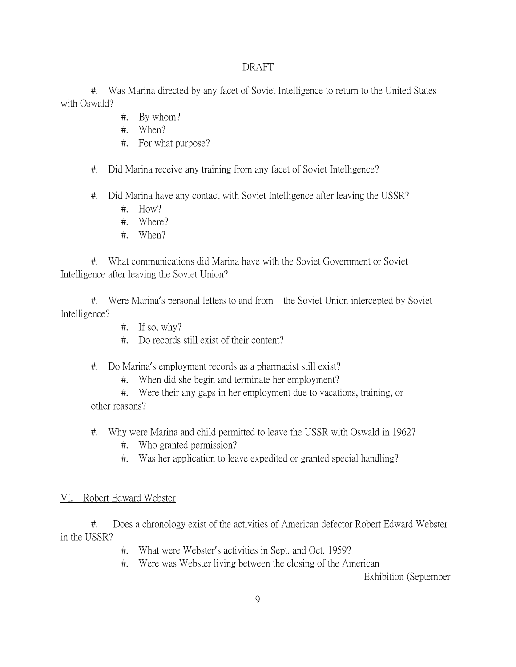#. Was Marina directed by any facet of Soviet Intelligence to return to the United States with Oswald?

- #. By whom?
- #. When?
- #. For what purpose?
- #. Did Marina receive any training from any facet of Soviet Intelligence?
- #. Did Marina have any contact with Soviet Intelligence after leaving the USSR?
	- #. How?
	- #. Where?
	- #. When?

#. What communications did Marina have with the Soviet Government or Soviet Intelligence after leaving the Soviet Union?

#. Were Marina's personal letters to and from the Soviet Union intercepted by Soviet Intelligence?

- #. If so, why?
- #. Do records still exist of their content?
- #. Do Marina's employment records as a pharmacist still exist?
	- #. When did she begin and terminate her employment?

#. Were their any gaps in her employment due to vacations, training, or other reasons?

- #. Why were Marina and child permitted to leave the USSR with Oswald in 1962?
	- #. Who granted permission?
	- #. Was her application to leave expedited or granted special handling?

#### VI. Robert Edward Webster

#. Does a chronology exist of the activities of American defector Robert Edward Webster in the USSR?

- #. What were Webster's activities in Sept. and Oct. 1959?
- #. Were was Webster living between the closing of the American

Exhibition (September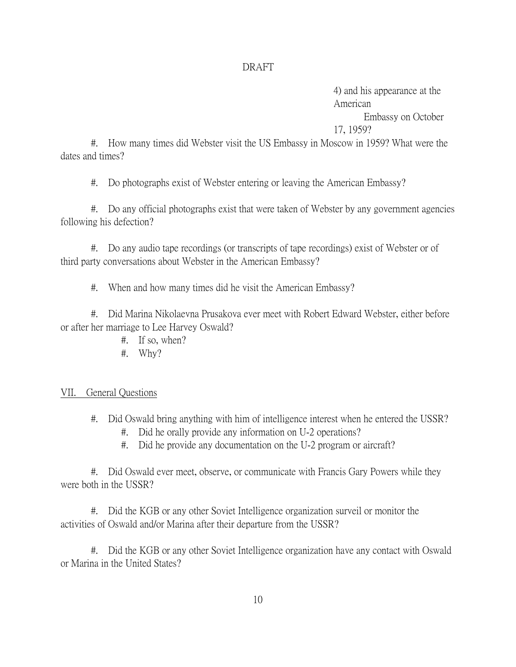4) and his appearance at the American Embassy on October 17, 1959?

#. How many times did Webster visit the US Embassy in Moscow in 1959? What were the dates and times?

#. Do photographs exist of Webster entering or leaving the American Embassy?

#. Do any official photographs exist that were taken of Webster by any government agencies following his defection?

#. Do any audio tape recordings (or transcripts of tape recordings) exist of Webster or of third party conversations about Webster in the American Embassy?

#. When and how many times did he visit the American Embassy?

#. Did Marina Nikolaevna Prusakova ever meet with Robert Edward Webster, either before or after her marriage to Lee Harvey Oswald?

- #. If so, when?
- #. Why?

#### VII. General Questions

- #. Did Oswald bring anything with him of intelligence interest when he entered the USSR?
	- #. Did he orally provide any information on U-2 operations?
	- #. Did he provide any documentation on the U-2 program or aircraft?

#. Did Oswald ever meet, observe, or communicate with Francis Gary Powers while they were both in the USSR?

#. Did the KGB or any other Soviet Intelligence organization surveil or monitor the activities of Oswald and/or Marina after their departure from the USSR?

#. Did the KGB or any other Soviet Intelligence organization have any contact with Oswald or Marina in the United States?